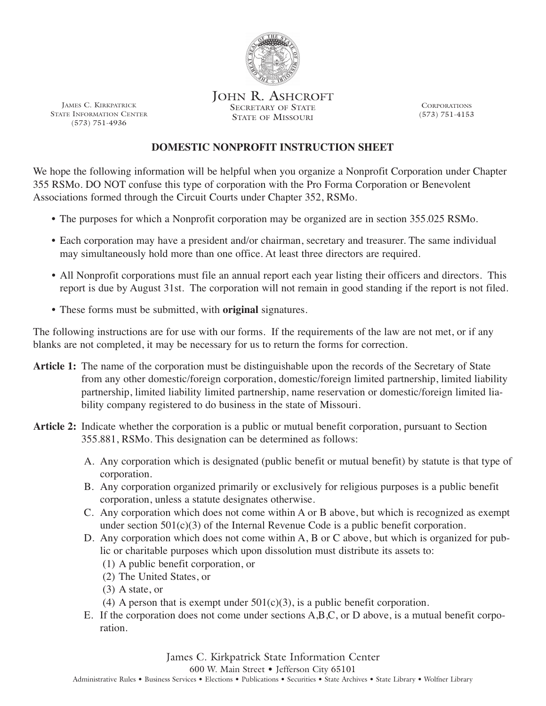

JOHN R. ASHCROFT SECRETARY OF STATE STATE OF MISSOURI

**CORPORATIONS** (573) 751-4153

## **DOMESTIC NONPROFIT INSTRUCTION SHEET**

 We hope the following information will be helpful when you organize a Nonprofit Corporation under Chapter 355 RSMo. DO NOT confuse this type of corporation with the Pro Forma Corporation or Benevolent Associations formed through the Circuit Courts under Chapter 352, RSMo.

- The purposes for which a Nonprofit corporation may be organized are in section 355.025 RSMo.
- • Each corporation may have a president and/or chairman, secretary and treasurer. The same individual may simultaneously hold more than one office. At least three directors are required.
- • All Nonprofit corporations must file an annual report each year listing their officers and directors. This report is due by August 31st. The corporation will not remain in good standing if the report is not filed.
- These forms must be submitted, with **original** signatures.

 The following instructions are for use with our forms. If the requirements of the law are not met, or if any blanks are not completed, it may be necessary for us to return the forms for correction.

- **Article 1:** The name of the corporation must be distinguishable upon the records of the Secretary of State from any other domestic/foreign corporation, domestic/foreign limited partnership, limited liability partnership, limited liability limited partnership, name reservation or domestic/foreign limited lia-bility company registered to do business in the state of Missouri.
- **Article 2:** Indicate whether the corporation is a public or mutual benefit corporation, pursuant to Section 355.881, RSMo. This designation can be determined as follows:
	- A. Any corporation which is designated (public benefit or mutual benefit) by statute is that type of corporation.
	- B. Any corporation organized primarily or exclusively for religious purposes is a public benefit corporation, unless a statute designates otherwise.
	- C. Any corporation which does not come within A or B above, but which is recognized as exempt under section 501(c)(3) of the Internal Revenue Code is a public benefit corporation.
	- D. Any corporation which does not come within A, B or C above, but which is organized for pub- lic or charitable purposes which upon dissolution must distribute its assets to:
		- (1) A public benefit corporation, or
		- (2) The United States, or
		- (3) A state, or
		- (4) A person that is exempt under  $501(c)(3)$ , is a public benefit corporation.
	- E. If the corporation does not come under sections A,B,C, or D above, is a mutual benefit corporation.

 James C. Kirkpatrick State Information Center 600 W. Main Street • Jefferson City 65101

Administrative Rules • Business Services • Elections • Publications • Securities • State Archives • State Library • Wolfner Library

JAMES C. KIRKPATRICK STATE INFORMATION CENTER (573) 751-4936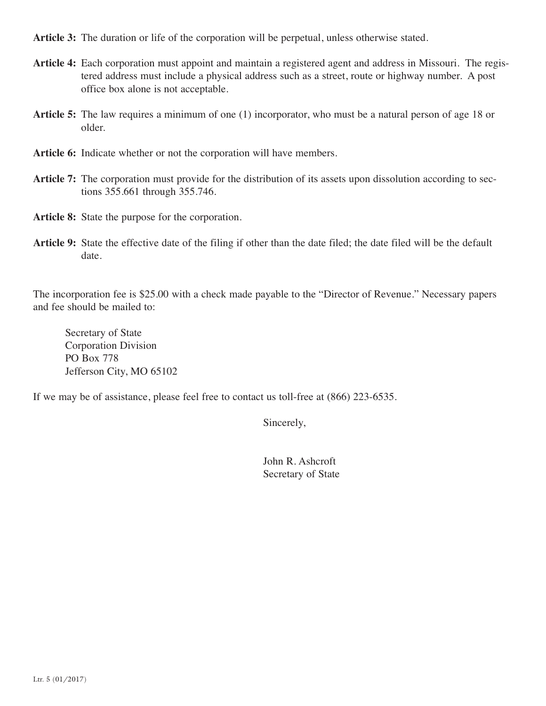**Article 3:** The duration or life of the corporation will be perpetual, unless otherwise stated.

- **Article 4:** Each corporation must appoint and maintain a registered agent and address in Missouri. The regis- tered address must include a physical address such as a street, route or highway number. A post office box alone is not acceptable.
- **Article 5:** The law requires a minimum of one (1) incorporator, who must be a natural person of age 18 or older.
- **Article 6:** Indicate whether or not the corporation will have members.
- **Article 7:** The corporation must provide for the distribution of its assets upon dissolution according to sec-tions 355.661 through 355.746.
- **Article 8:** State the purpose for the corporation.
- **Article 9:** State the effective date of the filing if other than the date filed; the date filed will be the default date.

 The incorporation fee is \$25.00 with a check made payable to the "Director of Revenue." Necessary papers and fee should be mailed to:

Secretary of State Corporation Division PO Box 778 Jefferson City, MO 65102

If we may be of assistance, please feel free to contact us toll-free at (866) 223-6535.

Sincerely,

John R. Ashcroft Secretary of State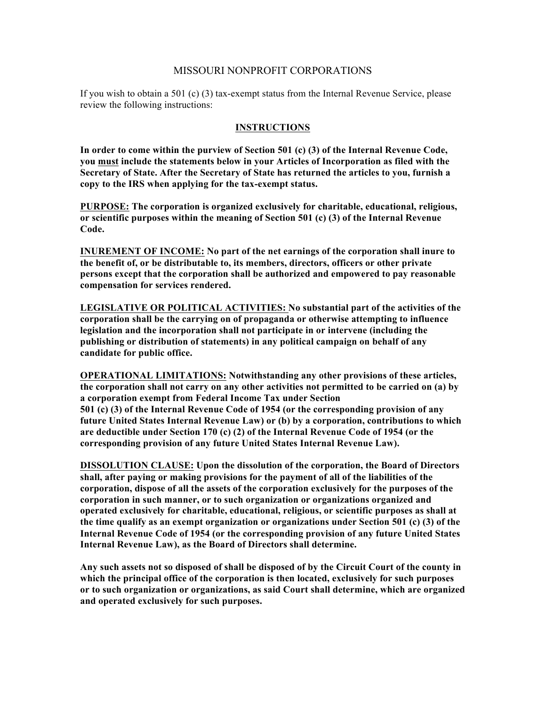## MISSOURI NONPROFIT CORPORATIONS

 If you wish to obtain a 501 (c) (3) tax-exempt status from the Internal Revenue Service, please review the following instructions:

## **INSTRUCTIONS**

 **In order to come within the purview of Section 501 (c) (3) of the Internal Revenue Code, Secretary of State. After the Secretary of State has returned the articles to you, furnish a copy to the IRS when applying for the tax-exempt status. you must include the statements below in your Articles of Incorporation as filed with the** 

 **PURPOSE: The corporation is organized exclusively for charitable, educational, religious, or scientific purposes within the meaning of Section 501 (c) (3) of the Internal Revenue Code.** 

 **INUREMENT OF INCOME: No part of the net earnings of the corporation shall inure to the benefit of, or be distributable to, its members, directors, officers or other private persons except that the corporation shall be authorized and empowered to pay reasonable compensation for services rendered.** 

 **LEGISLATIVE OR POLITICAL ACTIVITIES: No substantial part of the activities of the corporation shall be the carrying on of propaganda or otherwise attempting to influence publishing or distribution of statements) in any political campaign on behalf of any legislation and the incorporation shall not participate in or intervene (including the candidate for public office.** 

 **OPERATIONAL LIMITATIONS: Notwithstanding any other provisions of these articles, the corporation shall not carry on any other activities not permitted to be carried on (a) by a corporation exempt from Federal Income Tax under Section 501 (c) (3) of the Internal Revenue Code of 1954 (or the corresponding provision of any future United States Internal Revenue Law) or (b) by a corporation, contributions to which corresponding provision of any future United States Internal Revenue Law). are deductible under Section 170 (c) (2) of the Internal Revenue Code of 1954 (or the** 

 **DISSOLUTION CLAUSE: Upon the dissolution of the corporation, the Board of Directors shall, after paying or making provisions for the payment of all of the liabilities of the corporation, dispose of all the assets of the corporation exclusively for the purposes of the corporation in such manner, or to such organization or organizations organized and operated exclusively for charitable, educational, religious, or scientific purposes as shall at the time qualify as an exempt organization or organizations under Section 501 (c) (3) of the Internal Revenue Code of 1954 (or the corresponding provision of any future United States Internal Revenue Law), as the Board of Directors shall determine.** 

 **Any such assets not so disposed of shall be disposed of by the Circuit Court of the county in which the principal office of the corporation is then located, exclusively for such purposes or to such organization or organizations, as said Court shall determine, which are organized and operated exclusively for such purposes.**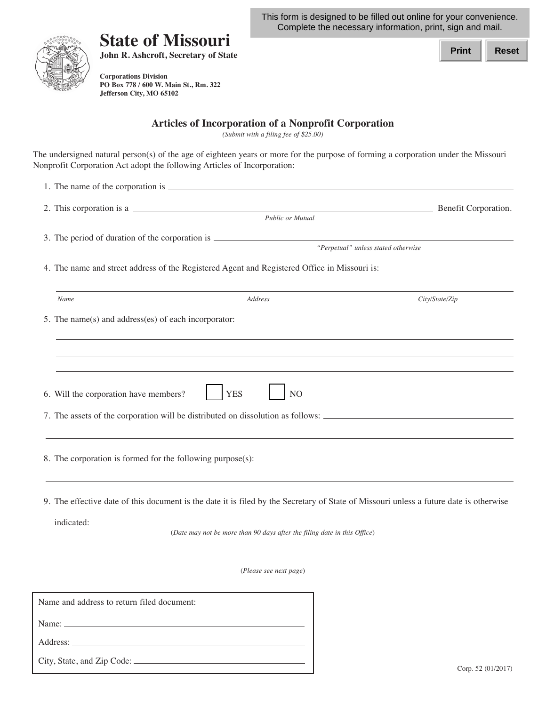This form is designed to be filled out online for your convenience. Complete the necessary information, print, sign and mail.



City, State, and Zip Code:

## **State of Missouri John R. Ashcroft, Secretary of State**

**Corporations Division PO Box 778 / 600 W. Main St., Rm. 322 Jefferson City, MO 65102** 

| Print | Reset |
|-------|-------|
|       |       |

**Articles of Incorporation of a Nonprofit Corporation**

*(Submit with a filing fee of \$25.00)*

The undersigned natural person(s) of the age of eighteen years or more for the purpose of forming a corporation under the Missouri Nonprofit Corporation Act adopt the following Articles of Incorporation:

| 2. This corporation is a                             |                                                                                                                                        | Benefit Corporation.                |
|------------------------------------------------------|----------------------------------------------------------------------------------------------------------------------------------------|-------------------------------------|
|                                                      | Public or Mutual                                                                                                                       |                                     |
|                                                      | 3. The period of duration of the corporation is ________________________________                                                       | "Perpetual" unless stated otherwise |
|                                                      | 4. The name and street address of the Registered Agent and Registered Office in Missouri is:                                           |                                     |
| Name                                                 | Address                                                                                                                                | City/State/Zip                      |
| 5. The name(s) and address(es) of each incorporator: |                                                                                                                                        |                                     |
|                                                      |                                                                                                                                        |                                     |
|                                                      |                                                                                                                                        |                                     |
| 6. Will the corporation have members?                | <b>YES</b><br>N <sub>O</sub>                                                                                                           |                                     |
|                                                      |                                                                                                                                        |                                     |
|                                                      |                                                                                                                                        |                                     |
|                                                      | 9. The effective date of this document is the date it is filed by the Secretary of State of Missouri unless a future date is otherwise |                                     |
|                                                      | (Date may not be more than 90 days after the filing date in this Office)                                                               |                                     |
|                                                      |                                                                                                                                        |                                     |
|                                                      | (Please see next page)                                                                                                                 |                                     |
| Name and address to return filed document:           |                                                                                                                                        |                                     |
|                                                      |                                                                                                                                        |                                     |